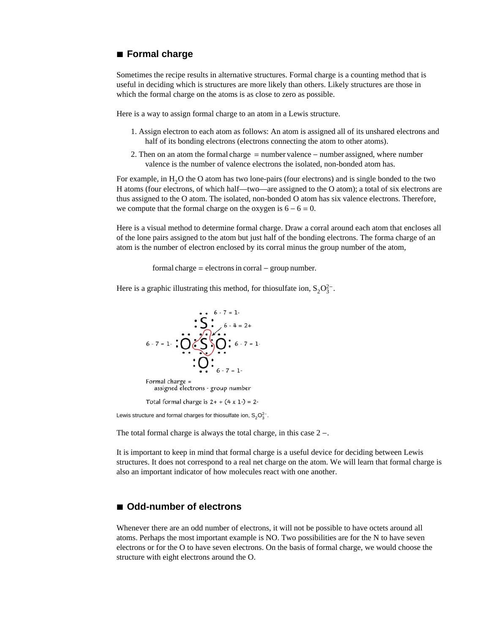## **à Formal charge**

Sometimes the recipe results in alternative structures. Formal charge is a counting method that is useful in deciding which is structures are more likely than others. Likely structures are those in which the formal charge on the atoms is as close to zero as possible.

Here is a way to assign formal charge to an atom in a Lewis structure.

- 1. Assign electron to each atom as follows: An atom is assigned all of its unshared electrons and half of its bonding electrons (electrons connecting the atom to other atoms).
- 2. Then on an atom the formal charge  $=$  number valence  $-$  number assigned, where number valence is the number of valence electrons the isolated, non-bonded atom has.

For example, in  $H_2O$  the O atom has two lone-pairs (four electrons) and is single bonded to the two H atoms (four electrons, of which half—two—are assigned to the O atom); a total of six electrons are thus assigned to the O atom. The isolated, non-bonded O atom has six valence electrons. Therefore, we compute that the formal charge on the oxygen is  $6 - 6 = 0$ .

Here is a visual method to determine formal charge. Draw a corral around each atom that encloses all of the lone pairs assigned to the atom but just half of the bonding electrons. The forma charge of an atom is the number of electron enclosed by its corral minus the group number of the atom,

 $formal charge = electrons in  $corral - group number$ .$ 

Here is a graphic illustrating this method, for thiosulfate ion,  $S_2O_3^{2-}$ .



Lewis structure and formal charges for thiosulfate ion,  $\mathsf{S}_2\mathsf{O}_3^{2-}.$ 

The total formal charge is always the total charge, in this case  $2 -$ .

It is important to keep in mind that formal charge is a useful device for deciding between Lewis structures. It does not correspond to a real net charge on the atom. We will learn that formal charge is also an important indicator of how molecules react with one another.

## **à Odd-number of electrons**

Whenever there are an odd number of electrons, it will not be possible to have octets around all atoms. Perhaps the most important example is NO. Two possibilities are for the N to have seven electrons or for the O to have seven electrons. On the basis of formal charge, we would choose the structure with eight electrons around the O.